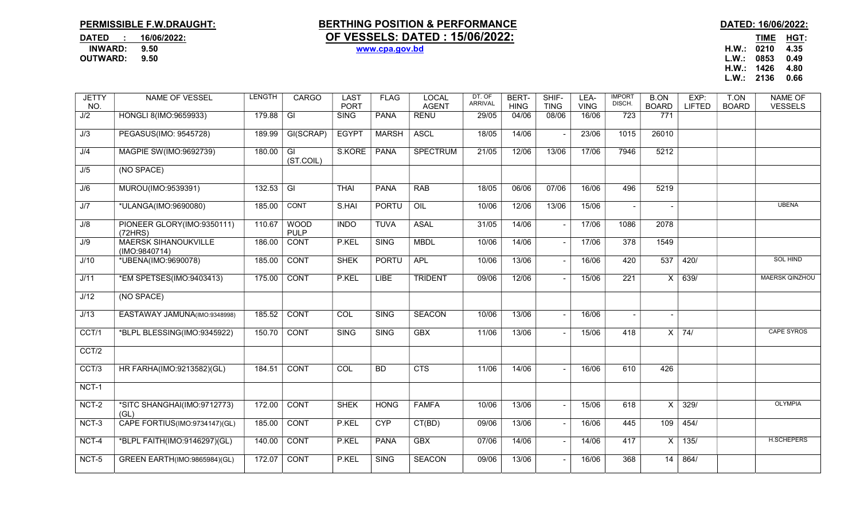## PERMISSIBLE F.W.DRAUGHT: BERTHING POSITION & PERFORMANCE DATED: 16/06/2022: DATED : 16/06/2022: <u>OF VESSELS: DATED : 15/06/2022:</u><br>INWARD: 9.50 www.cpa.gov.bd INWARD: 9.50 www.cpa.gov.bd H.W.: 0210 4.35

L.W.: 0853 0.49 H.W.: 1426 4.80 L.W.: 2136 0.66

| <b>JETTY</b> | NAME OF VESSEL                               | <b>LENGTH</b> | CARGO                      | <b>LAST</b>  | <b>FLAG</b>  | <b>LOCAL</b>    | DT. OF<br><b>ARRIVAL</b> | BERT-       | SHIF-       | LEA-        | <b>IMPORT</b><br>DISCH. | <b>B.ON</b>  | EXP:          | T.ON         | <b>NAME OF</b>        |
|--------------|----------------------------------------------|---------------|----------------------------|--------------|--------------|-----------------|--------------------------|-------------|-------------|-------------|-------------------------|--------------|---------------|--------------|-----------------------|
| NO.          |                                              |               |                            | <b>PORT</b>  |              | <b>AGENT</b>    |                          | <b>HING</b> | <b>TING</b> | <b>VING</b> |                         | <b>BOARD</b> | <b>LIFTED</b> | <b>BOARD</b> | <b>VESSELS</b>        |
| J/2          | HONGLI 8(IMO:9659933)                        | 179.88        | GI                         | <b>SING</b>  | <b>PANA</b>  | <b>RENU</b>     | 29/05                    | 04/06       | 08/06       | 16/06       | 723                     | 771          |               |              |                       |
| J/3          | PEGASUS(IMO: 9545728)                        | 189.99        | GI(SCRAP)                  | <b>EGYPT</b> | <b>MARSH</b> | <b>ASCL</b>     | 18/05                    | 14/06       |             | 23/06       | 1015                    | 26010        |               |              |                       |
| J/4          | MAGPIE SW(IMO:9692739)                       | 180.00        | GI<br>(ST.COIL)            | S.KORE       | <b>PANA</b>  | <b>SPECTRUM</b> | 21/05                    | 12/06       | 13/06       | 17/06       | 7946                    | 5212         |               |              |                       |
| J/5          | (NO SPACE)                                   |               |                            |              |              |                 |                          |             |             |             |                         |              |               |              |                       |
| J/6          | MUROU(IMO:9539391)                           | 132.53        | $\overline{\mathbb{G}}$    | <b>THAI</b>  | <b>PANA</b>  | <b>RAB</b>      | 18/05                    | 06/06       | 07/06       | 16/06       | 496                     | 5219         |               |              |                       |
| J/7          | *ULANGA(IMO:9690080)                         | 185.00        | CONT                       | S.HAI        | <b>PORTU</b> | OIL             | 10/06                    | 12/06       | 13/06       | 15/06       |                         |              |               |              | <b>UBENA</b>          |
| J/8          | PIONEER GLORY(IMO:9350111)<br>(72HRS)        | 110.67        | <b>WOOD</b><br><b>PULP</b> | <b>INDO</b>  | <b>TUVA</b>  | <b>ASAL</b>     | 31/05                    | 14/06       |             | 17/06       | 1086                    | 2078         |               |              |                       |
| J/9          | <b>MAERSK SIHANOUKVILLE</b><br>(IMO:9840714) | 186.00        | <b>CONT</b>                | P.KEL        | <b>SING</b>  | <b>MBDL</b>     | 10/06                    | 14/06       |             | 17/06       | 378                     | 1549         |               |              |                       |
| J/10         | *UBENA(IMO:9690078)                          | 185.00        | <b>CONT</b>                | <b>SHEK</b>  | <b>PORTU</b> | <b>APL</b>      | 10/06                    | 13/06       |             | 16/06       | 420                     | 537          | 420/          |              | <b>SOL HIND</b>       |
| J/11         | *EM SPETSES(IMO:9403413)                     | 175.00        | CONT                       | P.KEL        | <b>LIBE</b>  | <b>TRIDENT</b>  | 09/06                    | 12/06       |             | 15/06       | 221                     | $\times$     | 639/          |              | <b>MAERSK QINZHOU</b> |
| J/12         | (NO SPACE)                                   |               |                            |              |              |                 |                          |             |             |             |                         |              |               |              |                       |
| J/13         | EASTAWAY JAMUNA(IMO:9348998)                 | 185.52        | <b>CONT</b>                | COL          | <b>SING</b>  | <b>SEACON</b>   | 10/06                    | 13/06       |             | 16/06       |                         |              |               |              |                       |
| CCT/1        | *BLPL BLESSING(IMO:9345922)                  | 150.70        | <b>CONT</b>                | <b>SING</b>  | <b>SING</b>  | <b>GBX</b>      | 11/06                    | 13/06       |             | 15/06       | 418                     | $\times$     | 74/           |              | <b>CAPE SYROS</b>     |
| CCT/2        |                                              |               |                            |              |              |                 |                          |             |             |             |                         |              |               |              |                       |
| CCT/3        | HR FARHA(IMO:9213582)(GL)                    | 184.51        | <b>CONT</b>                | COL          | <b>BD</b>    | <b>CTS</b>      | 11/06                    | 14/06       |             | 16/06       | 610                     | 426          |               |              |                       |
| NCT-1        |                                              |               |                            |              |              |                 |                          |             |             |             |                         |              |               |              |                       |
| NCT-2        | *SITC SHANGHAI(IMO:9712773)<br>(GL)          | 172.00        | <b>CONT</b>                | <b>SHEK</b>  | <b>HONG</b>  | <b>FAMFA</b>    | 10/06                    | 13/06       |             | 15/06       | 618                     | $\mathsf{X}$ | 329/          |              | <b>OLYMPIA</b>        |
| NCT-3        | CAPE FORTIUS(IMO:9734147)(GL)                | 185.00        | <b>CONT</b>                | P.KEL        | <b>CYP</b>   | CT(BD)          | 09/06                    | 13/06       |             | 16/06       | 445                     | 109          | 454/          |              |                       |
| NCT-4        | *BLPL FAITH(IMO:9146297)(GL)                 | 140.00        | CONT                       | P.KEL        | <b>PANA</b>  | <b>GBX</b>      | 07/06                    | 14/06       |             | 14/06       | 417                     | $\times$     | 135/          |              | H.SCHEPERS            |
| NCT-5        | GREEN EARTH(IMO:9865984)(GL)                 | 172.07        | <b>CONT</b>                | P.KEL        | <b>SING</b>  | <b>SEACON</b>   | 09/06                    | 13/06       |             | 16/06       | 368                     | 14           | 864/          |              |                       |